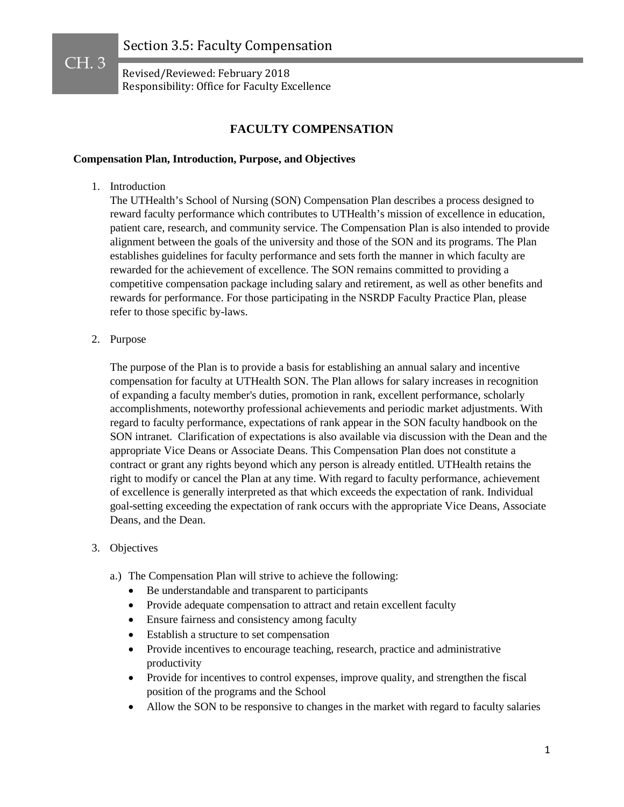## **FACULTY COMPENSATION**

### **Compensation Plan, Introduction, Purpose, and Objectives**

1. Introduction

CH. 3

The UTHealth's School of Nursing (SON) Compensation Plan describes a process designed to reward faculty performance which contributes to UTHealth's mission of excellence in education, patient care, research, and community service. The Compensation Plan is also intended to provide alignment between the goals of the university and those of the SON and its programs. The Plan establishes guidelines for faculty performance and sets forth the manner in which faculty are rewarded for the achievement of excellence. The SON remains committed to providing a competitive compensation package including salary and retirement, as well as other benefits and rewards for performance. For those participating in the NSRDP Faculty Practice Plan, please refer to those specific by-laws.

2. Purpose

The purpose of the Plan is to provide a basis for establishing an annual salary and incentive compensation for faculty at UTHealth SON. The Plan allows for salary increases in recognition of expanding a faculty member's duties, promotion in rank, excellent performance, scholarly accomplishments, noteworthy professional achievements and periodic market adjustments. With regard to faculty performance, expectations of rank appear in the SON faculty handbook on the SON intranet. Clarification of expectations is also available via discussion with the Dean and the appropriate Vice Deans or Associate Deans. This Compensation Plan does not constitute a contract or grant any rights beyond which any person is already entitled. UTHealth retains the right to modify or cancel the Plan at any time. With regard to faculty performance, achievement of excellence is generally interpreted as that which exceeds the expectation of rank. Individual goal-setting exceeding the expectation of rank occurs with the appropriate Vice Deans, Associate Deans, and the Dean.

- 3. Objectives
	- a.) The Compensation Plan will strive to achieve the following:
		- Be understandable and transparent to participants
		- Provide adequate compensation to attract and retain excellent faculty
		- Ensure fairness and consistency among faculty
		- Establish a structure to set compensation
		- Provide incentives to encourage teaching, research, practice and administrative productivity
		- Provide for incentives to control expenses, improve quality, and strengthen the fiscal position of the programs and the School
		- Allow the SON to be responsive to changes in the market with regard to faculty salaries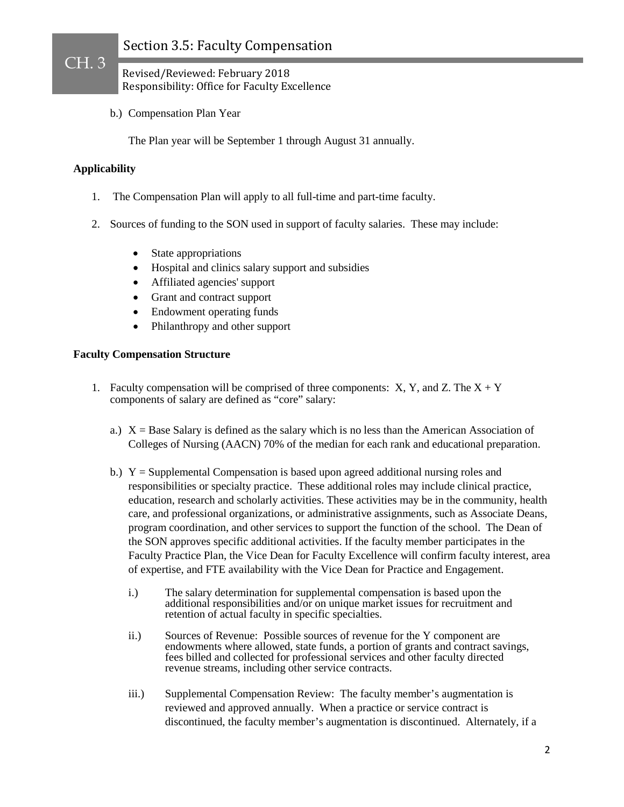Revised/Reviewed: February 2018 Responsibility: Office for Faculty Excellence

b.) Compensation Plan Year

The Plan year will be September 1 through August 31 annually.

### **Applicability**

CH. 3

- 1. The Compensation Plan will apply to all full-time and part-time faculty.
- 2. Sources of funding to the SON used in support of faculty salaries. These may include:
	- State appropriations
	- Hospital and clinics salary support and subsidies
	- Affiliated agencies' support
	- Grant and contract support
	- Endowment operating funds
	- Philanthropy and other support

### **Faculty Compensation Structure**

- 1. Faculty compensation will be comprised of three components:  $X, Y$ , and  $Z$ . The  $X + Y$ components of salary are defined as "core" salary:
	- a.)  $X =$ Base Salary is defined as the salary which is no less than the American Association of Colleges of Nursing (AACN) 70% of the median for each rank and educational preparation.
	- b.)  $Y =$  Supplemental Compensation is based upon agreed additional nursing roles and responsibilities or specialty practice. These additional roles may include clinical practice, education, research and scholarly activities. These activities may be in the community, health care, and professional organizations, or administrative assignments, such as Associate Deans, program coordination, and other services to support the function of the school. The Dean of the SON approves specific additional activities. If the faculty member participates in the Faculty Practice Plan, the Vice Dean for Faculty Excellence will confirm faculty interest, area of expertise, and FTE availability with the Vice Dean for Practice and Engagement.
		- i.) The salary determination for supplemental compensation is based upon the additional responsibilities and/or on unique market issues for recruitment and retention of actual faculty in specific specialties.
		- ii.) Sources of Revenue: Possible sources of revenue for the Y component are endowments where allowed, state funds, a portion of grants and contract savings, fees billed and collected for professional services and other faculty directed revenue streams, including other service contracts.
		- iii.) Supplemental Compensation Review: The faculty member's augmentation is reviewed and approved annually. When a practice or service contract is discontinued, the faculty member's augmentation is discontinued. Alternately, if a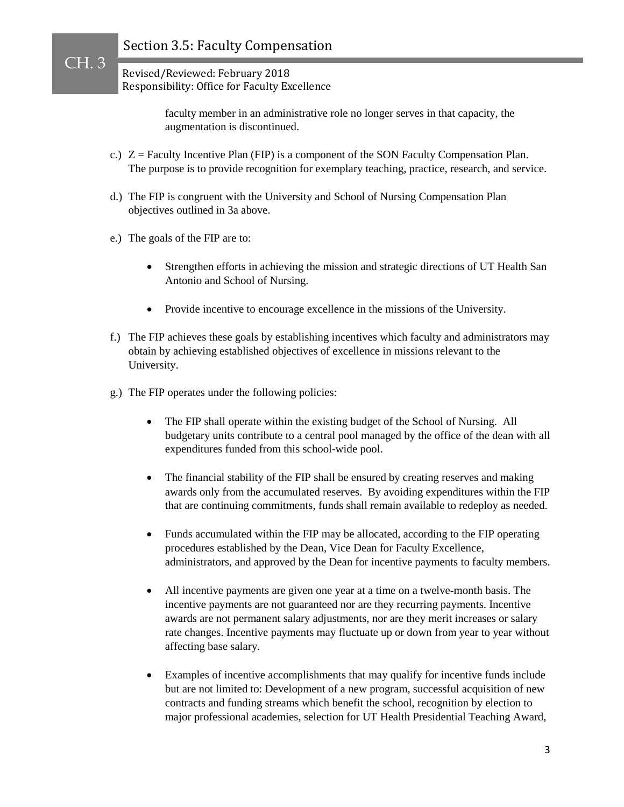## Revised/Reviewed: February 2018 Responsibility: Office for Faculty Excellence

faculty member in an administrative role no longer serves in that capacity, the augmentation is discontinued.

- c.)  $Z =$  Faculty Incentive Plan (FIP) is a component of the SON Faculty Compensation Plan. The purpose is to provide recognition for exemplary teaching, practice, research, and service.
- d.) The FIP is congruent with the University and School of Nursing Compensation Plan objectives outlined in 3a above.
- e.) The goals of the FIP are to:

- Strengthen efforts in achieving the mission and strategic directions of UT Health San Antonio and School of Nursing.
- Provide incentive to encourage excellence in the missions of the University.
- f.) The FIP achieves these goals by establishing incentives which faculty and administrators may obtain by achieving established objectives of excellence in missions relevant to the University.
- g.) The FIP operates under the following policies:
	- The FIP shall operate within the existing budget of the School of Nursing. All budgetary units contribute to a central pool managed by the office of the dean with all expenditures funded from this school-wide pool.
	- The financial stability of the FIP shall be ensured by creating reserves and making awards only from the accumulated reserves. By avoiding expenditures within the FIP that are continuing commitments, funds shall remain available to redeploy as needed.
	- Funds accumulated within the FIP may be allocated, according to the FIP operating procedures established by the Dean, Vice Dean for Faculty Excellence, administrators, and approved by the Dean for incentive payments to faculty members.
	- All incentive payments are given one year at a time on a twelve-month basis. The incentive payments are not guaranteed nor are they recurring payments. Incentive awards are not permanent salary adjustments, nor are they merit increases or salary rate changes. Incentive payments may fluctuate up or down from year to year without affecting base salary.
	- Examples of incentive accomplishments that may qualify for incentive funds include but are not limited to: Development of a new program, successful acquisition of new contracts and funding streams which benefit the school, recognition by election to major professional academies, selection for UT Health Presidential Teaching Award,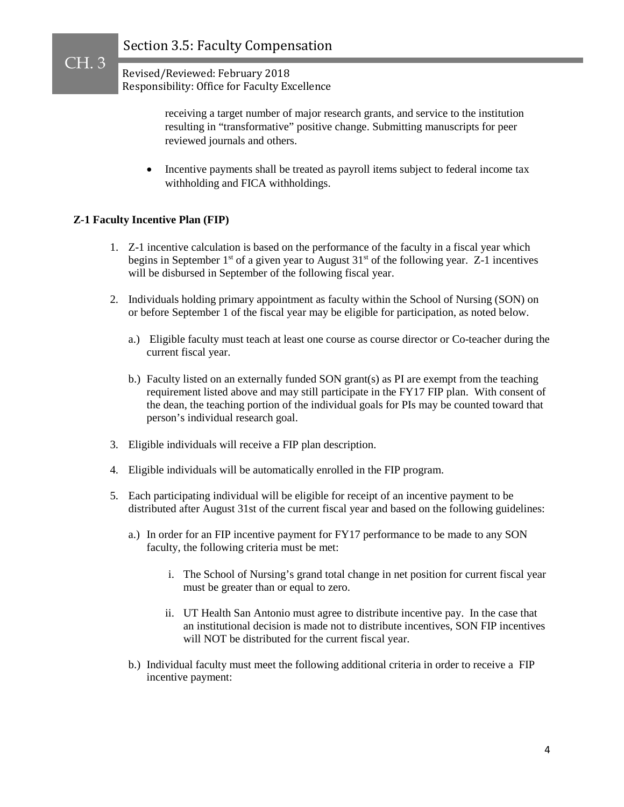> receiving a target number of major research grants, and service to the institution resulting in "transformative" positive change. Submitting manuscripts for peer reviewed journals and others.

• Incentive payments shall be treated as payroll items subject to federal income tax withholding and FICA withholdings.

## **Z-1 Faculty Incentive Plan (FIP)**

- 1. Z-1 incentive calculation is based on the performance of the faculty in a fiscal year which begins in September 1<sup>st</sup> of a given year to August  $31<sup>st</sup>$  of the following year. Z-1 incentives will be disbursed in September of the following fiscal year.
- 2. Individuals holding primary appointment as faculty within the School of Nursing (SON) on or before September 1 of the fiscal year may be eligible for participation, as noted below.
	- a.) Eligible faculty must teach at least one course as course director or Co-teacher during the current fiscal year.
	- b.) Faculty listed on an externally funded SON grant(s) as PI are exempt from the teaching requirement listed above and may still participate in the FY17 FIP plan. With consent of the dean, the teaching portion of the individual goals for PIs may be counted toward that person's individual research goal.
- 3. Eligible individuals will receive a FIP plan description.
- 4. Eligible individuals will be automatically enrolled in the FIP program.
- 5. Each participating individual will be eligible for receipt of an incentive payment to be distributed after August 31st of the current fiscal year and based on the following guidelines:
	- a.) In order for an FIP incentive payment for FY17 performance to be made to any SON faculty, the following criteria must be met:
		- i. The School of Nursing's grand total change in net position for current fiscal year must be greater than or equal to zero.
		- ii. UT Health San Antonio must agree to distribute incentive pay. In the case that an institutional decision is made not to distribute incentives, SON FIP incentives will NOT be distributed for the current fiscal year.
	- b.) Individual faculty must meet the following additional criteria in order to receive a FIP incentive payment: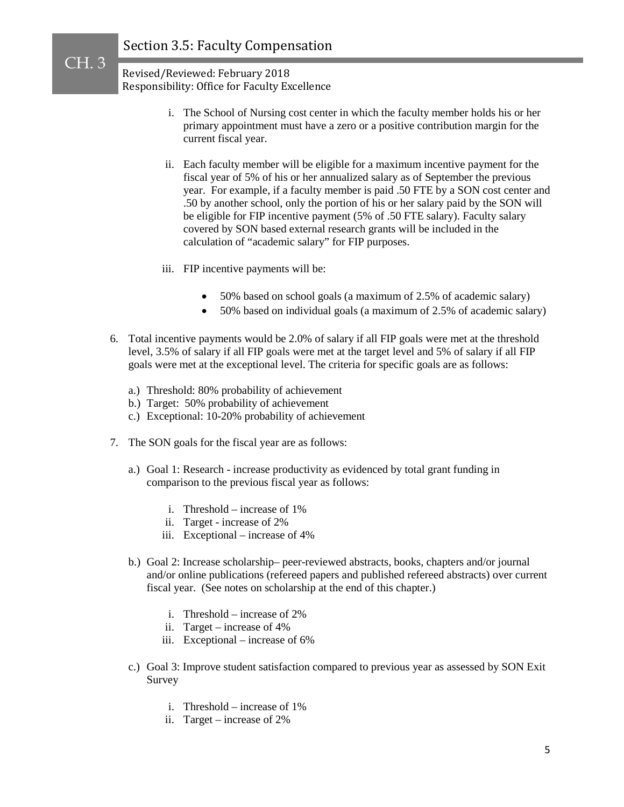CH. 3

 Revised/Reviewed: February 2018 Responsibility: Office for Faculty Excellence

- i. The School of Nursing cost center in which the faculty member holds his or her primary appointment must have a zero or a positive contribution margin for the current fiscal year.
- ii. Each faculty member will be eligible for a maximum incentive payment for the fiscal year of 5% of his or her annualized salary as of September the previous year. For example, if a faculty member is paid .50 FTE by a SON cost center and .50 by another school, only the portion of his or her salary paid by the SON will be eligible for FIP incentive payment (5% of .50 FTE salary). Faculty salary covered by SON based external research grants will be included in the calculation of "academic salary" for FIP purposes.
- iii. FIP incentive payments will be:
	- 50% based on school goals (a maximum of 2.5% of academic salary)
	- 50% based on individual goals (a maximum of 2.5% of academic salary)
- 6. Total incentive payments would be 2.0% of salary if all FIP goals were met at the threshold level, 3.5% of salary if all FIP goals were met at the target level and 5% of salary if all FIP goals were met at the exceptional level. The criteria for specific goals are as follows:
	- a.) Threshold: 80% probability of achievement
	- b.) Target: 50% probability of achievement
	- c.) Exceptional: 10-20% probability of achievement
- 7. The SON goals for the fiscal year are as follows:
	- a.) Goal 1: Research increase productivity as evidenced by total grant funding in comparison to the previous fiscal year as follows:
		- i. Threshold increase of 1%
		- ii. Target increase of 2%
		- iii. Exceptional increase of 4%
	- b.) Goal 2: Increase scholarship– peer-reviewed abstracts, books, chapters and/or journal and/or online publications (refereed papers and published refereed abstracts) over current fiscal year. (See notes on scholarship at the end of this chapter.)
		- i. Threshold increase of 2%
		- ii. Target increase of 4%
		- iii. Exceptional increase of 6%
	- c.) Goal 3: Improve student satisfaction compared to previous year as assessed by SON Exit Survey
		- i. Threshold increase of 1%
		- ii. Target increase of 2%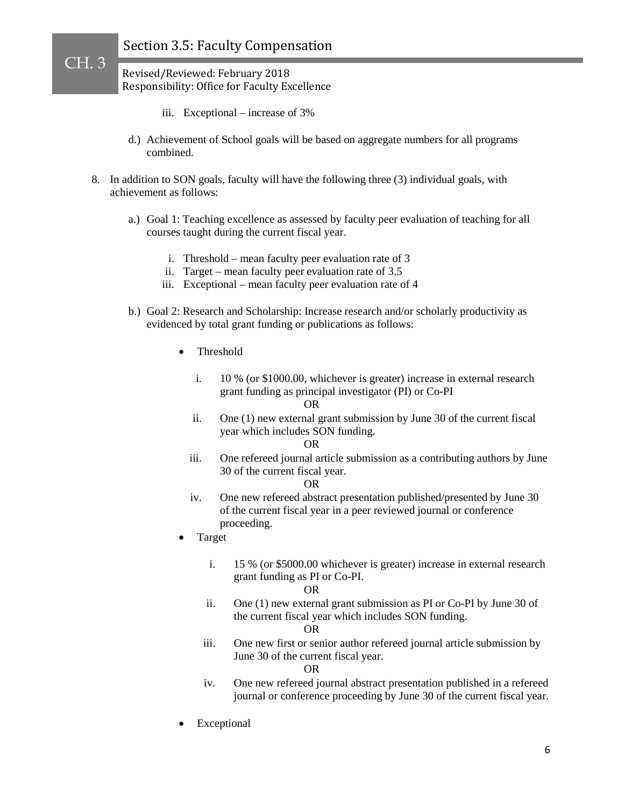Revised/Reviewed: February 2018 Responsibility: Office for Faculty Excellence

CH. 3

- iii. Exceptional increase of 3%
- d.) Achievement of School goals will be based on aggregate numbers for all programs combined.
- 8. In addition to SON goals, faculty will have the following three (3) individual goals, with achievement as follows:
	- a.) Goal 1: Teaching excellence as assessed by faculty peer evaluation of teaching for all courses taught during the current fiscal year.
		- i. Threshold mean faculty peer evaluation rate of 3
		- ii. Target mean faculty peer evaluation rate of 3.5
		- iii. Exceptional mean faculty peer evaluation rate of 4
	- b.) Goal 2: Research and Scholarship: Increase research and/or scholarly productivity as evidenced by total grant funding or publications as follows:
		- Threshold
			- i. 10 % (or \$1000.00, whichever is greater) increase in external research grant funding as principal investigator (PI) or Co-PI
				- OR
			- ii. One (1) new external grant submission by June 30 of the current fiscal year which includes SON funding.
				- OR
			- iii. One refereed journal article submission as a contributing authors by June 30 of the current fiscal year.

#### OR

- iv. One new refereed abstract presentation published/presented by June 30 of the current fiscal year in a peer reviewed journal or conference proceeding.
- Target
	- i. 15 % (or \$5000.00 whichever is greater) increase in external research grant funding as PI or Co-PI.

#### OR

ii. One (1) new external grant submission as PI or Co-PI by June 30 of the current fiscal year which includes SON funding.

#### OR

iii. One new first or senior author refereed journal article submission by June 30 of the current fiscal year.

OR

- iv. One new refereed journal abstract presentation published in a refereed journal or conference proceeding by June 30 of the current fiscal year.
- **Exceptional**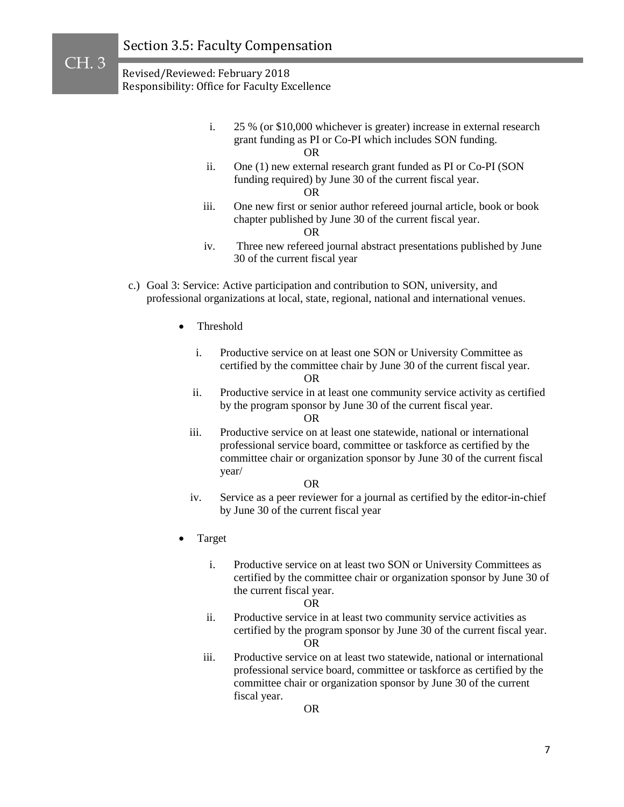- i. 25 % (or \$10,000 whichever is greater) increase in external research grant funding as PI or Co-PI which includes SON funding. OR
- ii. One (1) new external research grant funded as PI or Co-PI (SON funding required) by June 30 of the current fiscal year. OR
	-
- iii. One new first or senior author refereed journal article, book or book chapter published by June 30 of the current fiscal year.

OR

- iv. Three new refereed journal abstract presentations published by June 30 of the current fiscal year
- c.) Goal 3: Service: Active participation and contribution to SON, university, and professional organizations at local, state, regional, national and international venues.
	- Threshold
		- i. Productive service on at least one SON or University Committee as certified by the committee chair by June 30 of the current fiscal year. OR
		- ii. Productive service in at least one community service activity as certified by the program sponsor by June 30 of the current fiscal year.

OR

iii. Productive service on at least one statewide, national or international professional service board, committee or taskforce as certified by the committee chair or organization sponsor by June 30 of the current fiscal year/

#### OR

- iv. Service as a peer reviewer for a journal as certified by the editor-in-chief by June 30 of the current fiscal year
- Target
	- i. Productive service on at least two SON or University Committees as certified by the committee chair or organization sponsor by June 30 of the current fiscal year.

#### OR

- ii. Productive service in at least two community service activities as certified by the program sponsor by June 30 of the current fiscal year. OR
- iii. Productive service on at least two statewide, national or international professional service board, committee or taskforce as certified by the committee chair or organization sponsor by June 30 of the current fiscal year.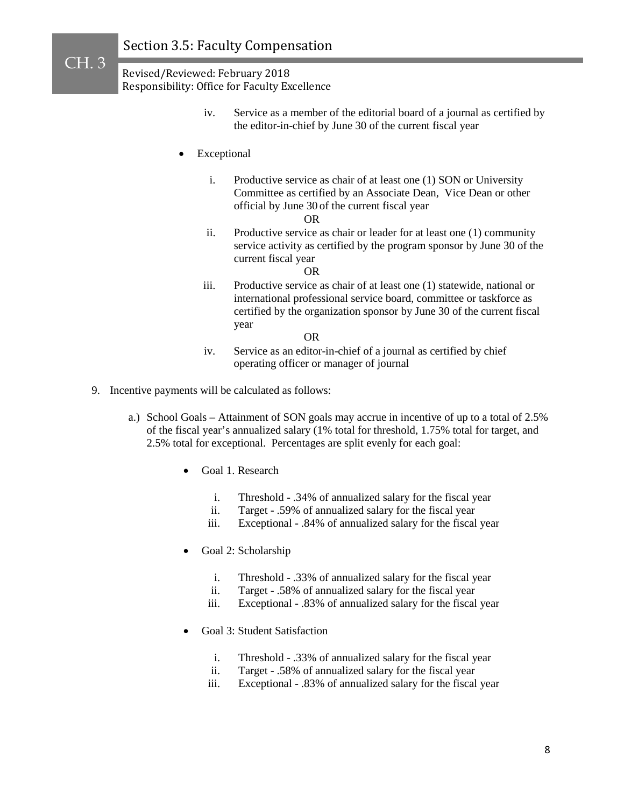CH. 3

- iv. Service as a member of the editorial board of a journal as certified by the editor-in-chief by June 30 of the current fiscal year
- **Exceptional** 
	- i. Productive service as chair of at least one (1) SON or University Committee as certified by an Associate Dean, Vice Dean or other official by June 30 of the current fiscal year
		- OR
	- ii. Productive service as chair or leader for at least one (1) community service activity as certified by the program sponsor by June 30 of the current fiscal year

#### OR

iii. Productive service as chair of at least one (1) statewide, national or international professional service board, committee or taskforce as certified by the organization sponsor by June 30 of the current fiscal year

OR

- iv. Service as an editor-in-chief of a journal as certified by chief operating officer or manager of journal
- 9. Incentive payments will be calculated as follows:
	- a.) School Goals Attainment of SON goals may accrue in incentive of up to a total of 2.5% of the fiscal year's annualized salary (1% total for threshold, 1.75% total for target, and 2.5% total for exceptional. Percentages are split evenly for each goal:
		- Goal 1. Research
			- i. Threshold .34% of annualized salary for the fiscal year
			- ii. Target .59% of annualized salary for the fiscal year
			- iii. Exceptional .84% of annualized salary for the fiscal year
		- Goal 2: Scholarship
			- i. Threshold .33% of annualized salary for the fiscal year
			- ii. Target .58% of annualized salary for the fiscal year
			- iii. Exceptional .83% of annualized salary for the fiscal year
		- Goal 3: Student Satisfaction
			- i. Threshold .33% of annualized salary for the fiscal year
			- ii. Target .58% of annualized salary for the fiscal year
			- iii. Exceptional .83% of annualized salary for the fiscal year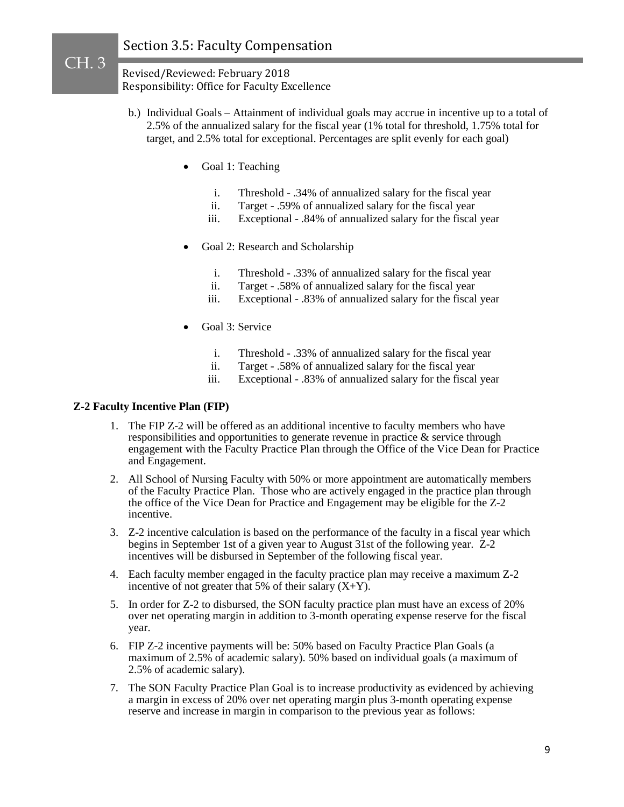Revised/Reviewed: February 2018 Responsibility: Office for Faculty Excellence

- b.) Individual Goals Attainment of individual goals may accrue in incentive up to a total of 2.5% of the annualized salary for the fiscal year (1% total for threshold, 1.75% total for target, and 2.5% total for exceptional. Percentages are split evenly for each goal)
	- Goal 1: Teaching
		- i. Threshold .34% of annualized salary for the fiscal year
		- ii. Target .59% of annualized salary for the fiscal year
		- iii. Exceptional .84% of annualized salary for the fiscal year
	- Goal 2: Research and Scholarship
		- i. Threshold .33% of annualized salary for the fiscal year
		- ii. Target .58% of annualized salary for the fiscal year
		- iii. Exceptional .83% of annualized salary for the fiscal year
	- Goal 3: Service
		- i. Threshold .33% of annualized salary for the fiscal year
		- ii. Target .58% of annualized salary for the fiscal year
		- iii. Exceptional .83% of annualized salary for the fiscal year

### **Z-2 Faculty Incentive Plan (FIP)**

- 1. The FIP Z-2 will be offered as an additional incentive to faculty members who have responsibilities and opportunities to generate revenue in practice & service through engagement with the Faculty Practice Plan through the Office of the Vice Dean for Practice and Engagement.
- 2. All School of Nursing Faculty with 50% or more appointment are automatically members of the Faculty Practice Plan. Those who are actively engaged in the practice plan through the office of the Vice Dean for Practice and Engagement may be eligible for the Z-2 incentive.
- 3. Z-2 incentive calculation is based on the performance of the faculty in a fiscal year which begins in September 1st of a given year to August 31st of the following year. Z-2 incentives will be disbursed in September of the following fiscal year.
- 4. Each faculty member engaged in the faculty practice plan may receive a maximum Z-2 incentive of not greater that 5% of their salary  $(X+Y)$ .
- 5. In order for Z-2 to disbursed, the SON faculty practice plan must have an excess of 20% over net operating margin in addition to 3-month operating expense reserve for the fiscal year.
- 6. FIP Z-2 incentive payments will be: 50% based on Faculty Practice Plan Goals (a maximum of 2.5% of academic salary). 50% based on individual goals (a maximum of 2.5% of academic salary).
- 7. The SON Faculty Practice Plan Goal is to increase productivity as evidenced by achieving a margin in excess of 20% over net operating margin plus 3-month operating expense reserve and increase in margin in comparison to the previous year as follows: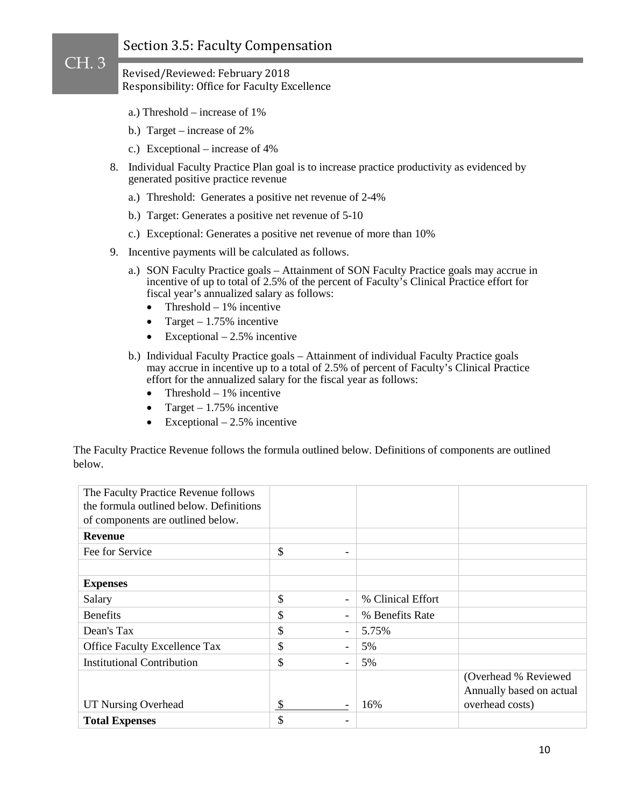### Revised/Reviewed: February 2018 Responsibility: Office for Faculty Excellence

- a.) Threshold increase of 1%
- b.) Target increase of 2%

CH. 3

- c.) Exceptional increase of 4%
- 8. Individual Faculty Practice Plan goal is to increase practice productivity as evidenced by generated positive practice revenue
	- a.) Threshold: Generates a positive net revenue of 2-4%
	- b.) Target: Generates a positive net revenue of 5-10
	- c.) Exceptional: Generates a positive net revenue of more than 10%
- 9. Incentive payments will be calculated as follows.
	- a.) SON Faculty Practice goals Attainment of SON Faculty Practice goals may accrue in incentive of up to total of 2.5% of the percent of Faculty's Clinical Practice effort for fiscal year's annualized salary as follows:
		- Threshold  $-1\%$  incentive
		- Target  $1.75\%$  incentive
		- Exceptional  $-2.5%$  incentive
	- b.) Individual Faculty Practice goals Attainment of individual Faculty Practice goals may accrue in incentive up to a total of 2.5% of percent of Faculty's Clinical Practice effort for the annualized salary for the fiscal year as follows:
		- Threshold  $-1\%$  incentive
		- Target  $1.75\%$  incentive
		- Exceptional  $-2.5%$  incentive

The Faculty Practice Revenue follows the formula outlined below. Definitions of components are outlined below.

| The Faculty Practice Revenue follows    |                                                     |                          |
|-----------------------------------------|-----------------------------------------------------|--------------------------|
| the formula outlined below. Definitions |                                                     |                          |
| of components are outlined below.       |                                                     |                          |
| <b>Revenue</b>                          |                                                     |                          |
| Fee for Service                         | \$<br>۰                                             |                          |
|                                         |                                                     |                          |
| <b>Expenses</b>                         |                                                     |                          |
| Salary                                  | \$<br>% Clinical Effort<br>$\overline{\phantom{a}}$ |                          |
| <b>Benefits</b>                         | \$<br>% Benefits Rate<br>$\overline{\phantom{a}}$   |                          |
| Dean's Tax                              | \$<br>5.75%<br>$\overline{\phantom{a}}$             |                          |
| <b>Office Faculty Excellence Tax</b>    | \$<br>5%<br>$\overline{\phantom{a}}$                |                          |
| <b>Institutional Contribution</b>       | \$<br>5%<br>$\blacksquare$                          |                          |
|                                         |                                                     | (Overhead % Reviewed     |
|                                         |                                                     | Annually based on actual |
| <b>UT Nursing Overhead</b>              | \$<br>16%                                           | overhead costs)          |
| <b>Total Expenses</b>                   | \$                                                  |                          |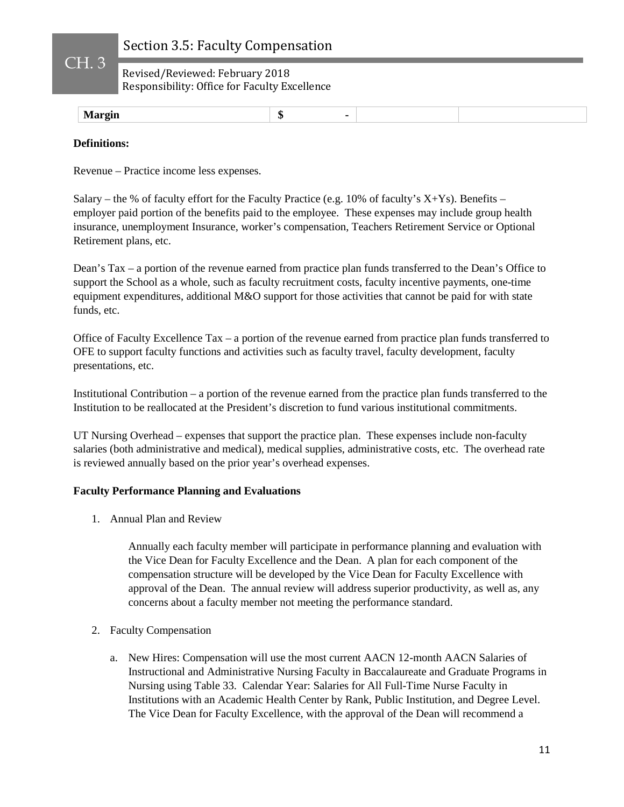Revised/Reviewed: February 2018 Responsibility: Office for Faculty Excellence

| эн.<br>$\sim$ $\sim$ $\sim$ $\sim$ $\sim$ $\sim$ |  |  |  |
|--------------------------------------------------|--|--|--|
|--------------------------------------------------|--|--|--|

### **Definitions:**

CH. 3

Revenue – Practice income less expenses.

Salary – the % of faculty effort for the Faculty Practice (e.g.  $10\%$  of faculty's X+Ys). Benefits – employer paid portion of the benefits paid to the employee. These expenses may include group health insurance, unemployment Insurance, worker's compensation, Teachers Retirement Service or Optional Retirement plans, etc.

Dean's Tax – a portion of the revenue earned from practice plan funds transferred to the Dean's Office to support the School as a whole, such as faculty recruitment costs, faculty incentive payments, one-time equipment expenditures, additional M&O support for those activities that cannot be paid for with state funds, etc.

Office of Faculty Excellence Tax – a portion of the revenue earned from practice plan funds transferred to OFE to support faculty functions and activities such as faculty travel, faculty development, faculty presentations, etc.

Institutional Contribution – a portion of the revenue earned from the practice plan funds transferred to the Institution to be reallocated at the President's discretion to fund various institutional commitments.

UT Nursing Overhead – expenses that support the practice plan. These expenses include non-faculty salaries (both administrative and medical), medical supplies, administrative costs, etc. The overhead rate is reviewed annually based on the prior year's overhead expenses.

### **Faculty Performance Planning and Evaluations**

1. Annual Plan and Review

Annually each faculty member will participate in performance planning and evaluation with the Vice Dean for Faculty Excellence and the Dean. A plan for each component of the compensation structure will be developed by the Vice Dean for Faculty Excellence with approval of the Dean. The annual review will address superior productivity, as well as, any concerns about a faculty member not meeting the performance standard.

- 2. Faculty Compensation
	- a. New Hires: Compensation will use the most current AACN 12-month AACN Salaries of Instructional and Administrative Nursing Faculty in Baccalaureate and Graduate Programs in Nursing using Table 33. Calendar Year: Salaries for All Full-Time Nurse Faculty in Institutions with an Academic Health Center by Rank, Public Institution, and Degree Level. The Vice Dean for Faculty Excellence, with the approval of the Dean will recommend a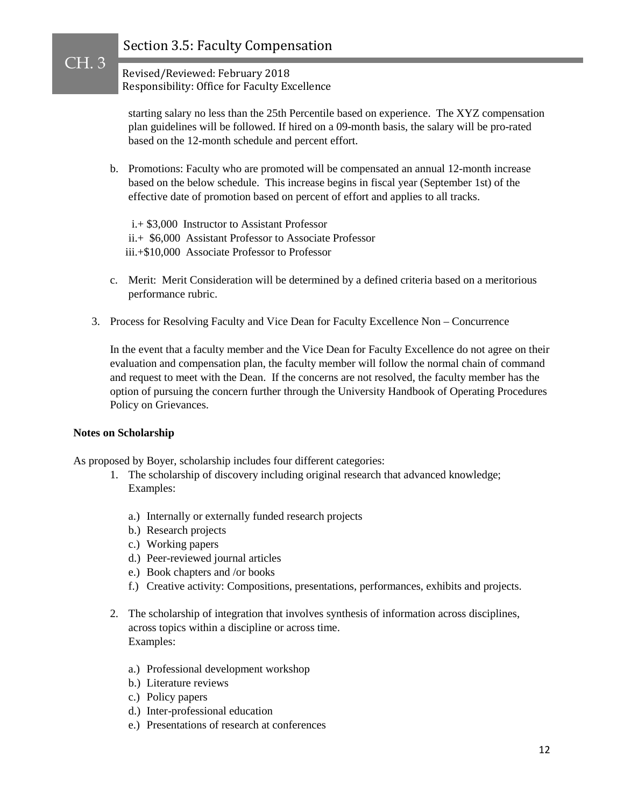Revised/Reviewed: February 2018 Responsibility: Office for Faculty Excellence

starting salary no less than the 25th Percentile based on experience. The XYZ compensation plan guidelines will be followed. If hired on a 09-month basis, the salary will be pro-rated based on the 12-month schedule and percent effort.

- b. Promotions: Faculty who are promoted will be compensated an annual 12-month increase based on the below schedule. This increase begins in fiscal year (September 1st) of the effective date of promotion based on percent of effort and applies to all tracks.
	- i.+ \$3,000 Instructor to Assistant Professor ii.+ \$6,000 Assistant Professor to Associate Professor iii.+\$10,000 Associate Professor to Professor
- c. Merit: Merit Consideration will be determined by a defined criteria based on a meritorious performance rubric.
- 3. Process for Resolving Faculty and Vice Dean for Faculty Excellence Non Concurrence

In the event that a faculty member and the Vice Dean for Faculty Excellence do not agree on their evaluation and compensation plan, the faculty member will follow the normal chain of command and request to meet with the Dean. If the concerns are not resolved, the faculty member has the option of pursuing the concern further through the University Handbook of Operating Procedures Policy on Grievances.

#### **Notes on Scholarship**

CH. 3

As proposed by Boyer, scholarship includes four different categories:

- 1. The scholarship of discovery including original research that advanced knowledge; Examples:
	- a.) Internally or externally funded research projects
	- b.) Research projects
	- c.) Working papers
	- d.) Peer-reviewed journal articles
	- e.) Book chapters and /or books
	- f.) Creative activity: Compositions, presentations, performances, exhibits and projects.
- 2. The scholarship of integration that involves synthesis of information across disciplines, across topics within a discipline or across time. Examples:
	- a.) Professional development workshop
	- b.) Literature reviews
	- c.) Policy papers
	- d.) Inter-professional education
	- e.) Presentations of research at conferences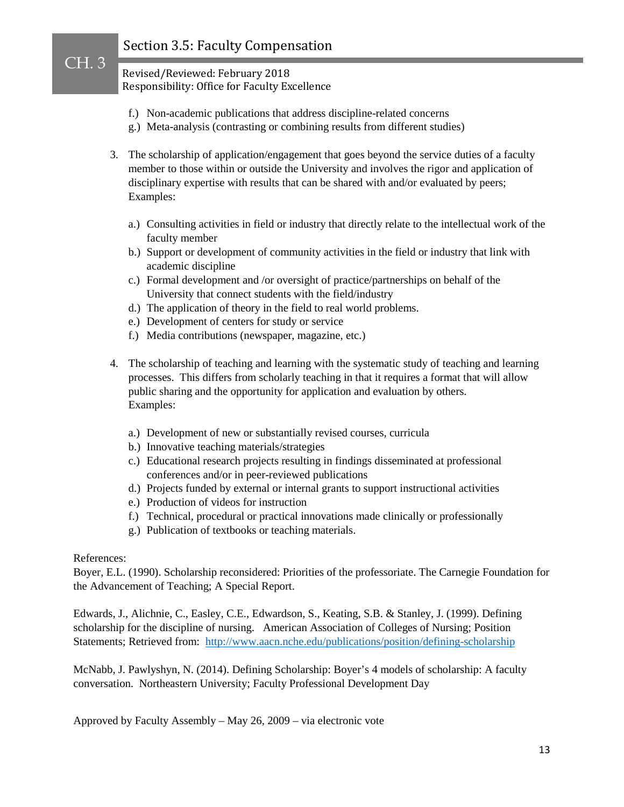Revised/Reviewed: February 2018 Responsibility: Office for Faculty Excellence

- f.) Non-academic publications that address discipline-related concerns
- g.) Meta-analysis (contrasting or combining results from different studies)
- 3. The scholarship of application/engagement that goes beyond the service duties of a faculty member to those within or outside the University and involves the rigor and application of disciplinary expertise with results that can be shared with and/or evaluated by peers; Examples:
	- a.) Consulting activities in field or industry that directly relate to the intellectual work of the faculty member
	- b.) Support or development of community activities in the field or industry that link with academic discipline
	- c.) Formal development and /or oversight of practice/partnerships on behalf of the University that connect students with the field/industry
	- d.) The application of theory in the field to real world problems.
	- e.) Development of centers for study or service
	- f.) Media contributions (newspaper, magazine, etc.)
- 4. The scholarship of teaching and learning with the systematic study of teaching and learning processes. This differs from scholarly teaching in that it requires a format that will allow public sharing and the opportunity for application and evaluation by others. Examples:
	- a.) Development of new or substantially revised courses, curricula
	- b.) Innovative teaching materials/strategies
	- c.) Educational research projects resulting in findings disseminated at professional conferences and/or in peer-reviewed publications
	- d.) Projects funded by external or internal grants to support instructional activities
	- e.) Production of videos for instruction
	- f.) Technical, procedural or practical innovations made clinically or professionally
	- g.) Publication of textbooks or teaching materials.

### References:

CH. 3

Boyer, E.L. (1990). Scholarship reconsidered: Priorities of the professoriate. The Carnegie Foundation for the Advancement of Teaching; A Special Report.

Edwards, J., Alichnie, C., Easley, C.E., Edwardson, S., Keating, S.B. & Stanley, J. (1999). Defining scholarship for the discipline of nursing. American Association of Colleges of Nursing; Position Statements; Retrieved from: <http://www.aacn.nche.edu/publications/position/defining-scholarship>

McNabb, J. Pawlyshyn, N. (2014). Defining Scholarship: Boyer's 4 models of scholarship: A faculty conversation. Northeastern University; Faculty Professional Development Day

Approved by Faculty Assembly – May 26, 2009 – via electronic vote